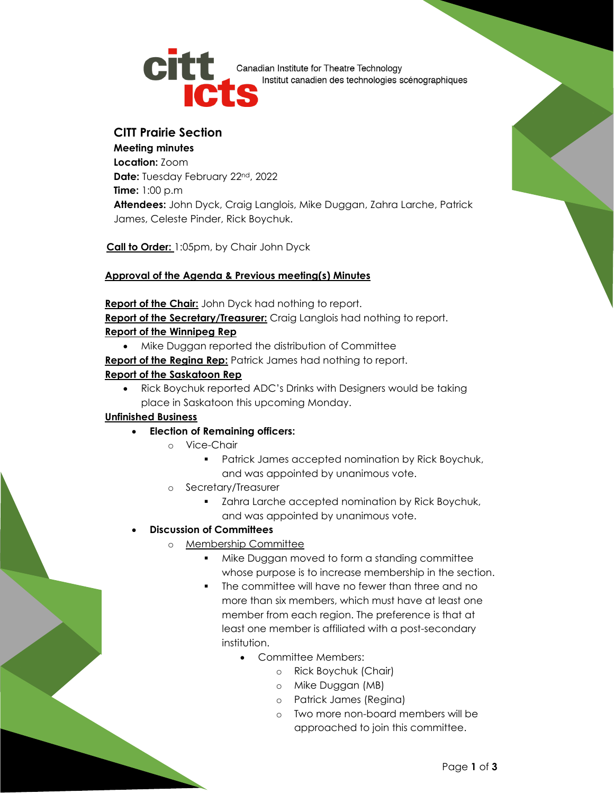

**CHE** Canadian Institute for Theatre Technology Institut canadien des technologies scénographiques

# **CITT Prairie Section**

**Meeting minutes Location:** Zoom **Date:** Tuesday February 22nd, 2022 **Time:** 1:00 p.m **Attendees:** John Dyck, Craig Langlois, Mike Duggan, Zahra Larche, Patrick James, Celeste Pinder, Rick Boychuk.

**Call to Order:** 1:05pm, by Chair John Dyck

### **Approval of the Agenda & Previous meeting(s) Minutes**

#### **Report of the Chair:** John Dyck had nothing to report.

**Report of the Secretary/Treasurer:** Craig Langlois had nothing to report. **Report of the Winnipeg Rep**

- Mike Duggan reported the distribution of Committee
- **Report of the Regina Rep:** Patrick James had nothing to report.

#### **Report of the Saskatoon Rep**

• Rick Boychuk reported ADC's Drinks with Designers would be taking place in Saskatoon this upcoming Monday.

#### **Unfinished Business**

- **Election of Remaining officers:**
	- o Vice-Chair
		- Patrick James accepted nomination by Rick Boychuk, and was appointed by unanimous vote.
	- o Secretary/Treasurer
		- **EXEDENTED EXELGENT LANGE 2015** Zahra Larche accepted nomination by Rick Boychuk, and was appointed by unanimous vote.

## • **Discussion of Committees**

- o Membership Committee
	- Mike Duggan moved to form a standing committee whose purpose is to increase membership in the section.
	- The committee will have no fewer than three and no more than six members, which must have at least one member from each region. The preference is that at least one member is affiliated with a post-secondary institution.
		- Committee Members:
			- o Rick Boychuk (Chair)
			- o Mike Duggan (MB)
			- o Patrick James (Regina)
			- o Two more non-board members will be approached to join this committee.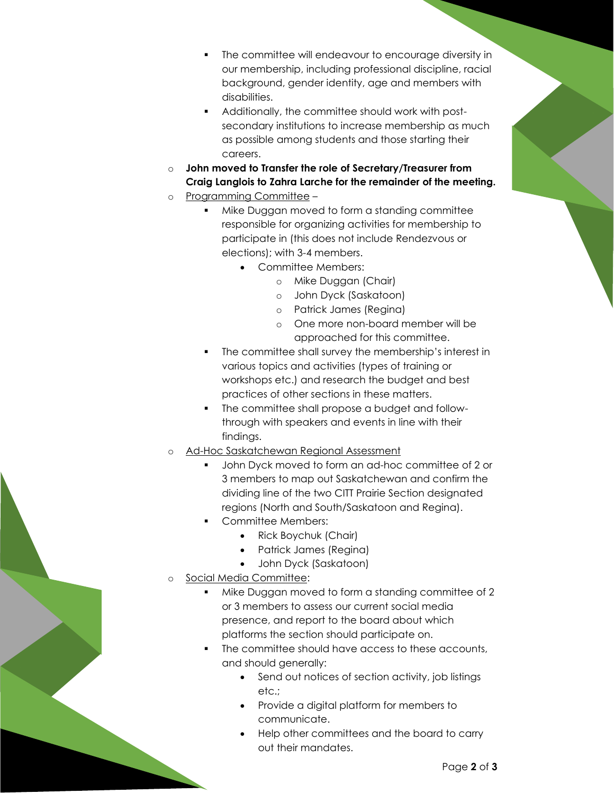- The committee will endeavour to encourage diversity in our membership, including professional discipline, racial background, gender identity, age and members with disabilities.
- Additionally, the committee should work with postsecondary institutions to increase membership as much as possible among students and those starting their careers.
- o **John moved to Transfer the role of Secretary/Treasurer from Craig Langlois to Zahra Larche for the remainder of the meeting.**
- o Programming Committee
	- Mike Duggan moved to form a standing committee responsible for organizing activities for membership to participate in (this does not include Rendezvous or elections); with 3-4 members.
		- Committee Members:
			- o Mike Duggan (Chair)
			- o John Dyck (Saskatoon)
			- o Patrick James (Regina)
			- o One more non-board member will be approached for this committee.
	- The committee shall survey the membership's interest in various topics and activities (types of training or workshops etc.) and research the budget and best practices of other sections in these matters.
	- The committee shall propose a budget and followthrough with speakers and events in line with their findings.
- Ad-Hoc Saskatchewan Regional Assessment
	- John Dyck moved to form an ad-hoc committee of 2 or 3 members to map out Saskatchewan and confirm the dividing line of the two CITT Prairie Section designated regions (North and South/Saskatoon and Regina).
	- Committee Members:
		- Rick Boychuk (Chair)
		- Patrick James (Regina)
		- John Dyck (Saskatoon)
- Social Media Committee:
	- Mike Duggan moved to form a standing committee of 2 or 3 members to assess our current social media presence, and report to the board about which platforms the section should participate on.
	- The committee should have access to these accounts, and should generally:
		- Send out notices of section activity, job listings etc.;
		- Provide a digital platform for members to communicate.
		- Help other committees and the board to carry out their mandates.